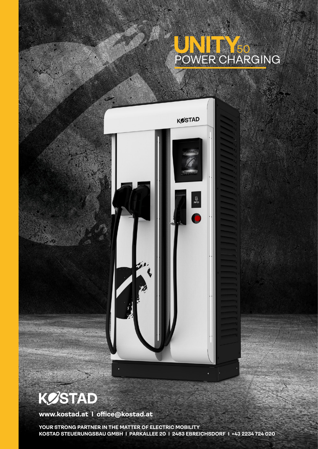## POWER CHARGING 50



**KØSTAD** 

**www.kostad.at I office@kostad.at**

**YOUR STRONG PARTNER IN THE MATTER OF ELECTRIC MOBILITY KOSTAD STEUERUNGSBAU GMBH I PARKALLEE 20 I 2483 EBREICHSDORF I +43 2234 724 020**